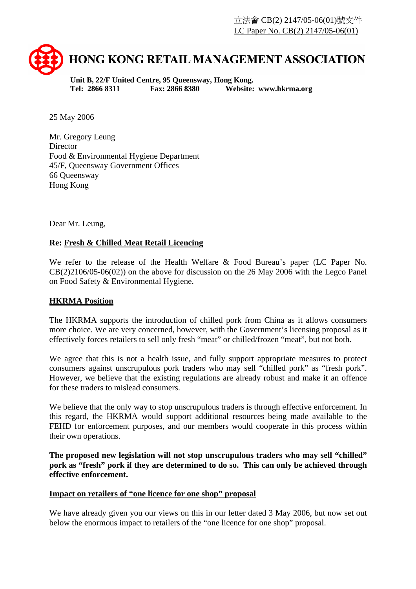

**Unit B, 22/F United Centre, 95 Queensway, Hong Kong. Tel: 2866 8311 Fax: 2866 8380 Website: www.hkrma.org** 

25 May 2006

Mr. Gregory Leung **Director** Food & Environmental Hygiene Department 45/F, Queensway Government Offices 66 Queensway Hong Kong

Dear Mr. Leung,

# **Re: Fresh & Chilled Meat Retail Licencing**

We refer to the release of the Health Welfare & Food Bureau's paper (LC Paper No. CB(2)2106/05-06(02)) on the above for discussion on the 26 May 2006 with the Legco Panel on Food Safety & Environmental Hygiene.

# **HKRMA Position**

The HKRMA supports the introduction of chilled pork from China as it allows consumers more choice. We are very concerned, however, with the Government's licensing proposal as it effectively forces retailers to sell only fresh "meat" or chilled/frozen "meat", but not both.

We agree that this is not a health issue, and fully support appropriate measures to protect consumers against unscrupulous pork traders who may sell "chilled pork" as "fresh pork". However, we believe that the existing regulations are already robust and make it an offence for these traders to mislead consumers.

We believe that the only way to stop unscrupulous traders is through effective enforcement. In this regard, the HKRMA would support additional resources being made available to the FEHD for enforcement purposes, and our members would cooperate in this process within their own operations.

**The proposed new legislation will not stop unscrupulous traders who may sell "chilled" pork as "fresh" pork if they are determined to do so. This can only be achieved through effective enforcement.** 

# **Impact on retailers of "one licence for one shop" proposal**

We have already given you our views on this in our letter dated 3 May 2006, but now set out below the enormous impact to retailers of the "one licence for one shop" proposal.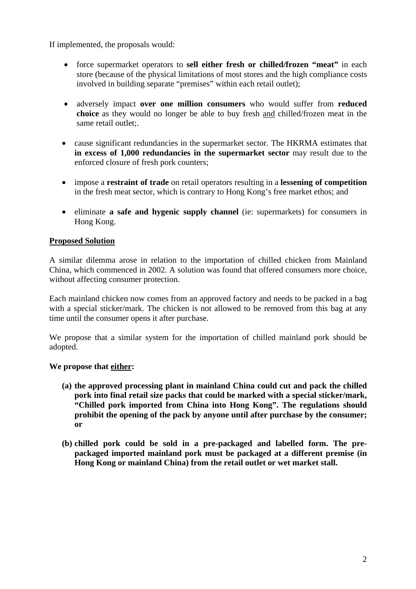If implemented, the proposals would:

- force supermarket operators to **sell either fresh or chilled/frozen "meat"** in each store (because of the physical limitations of most stores and the high compliance costs involved in building separate "premises" within each retail outlet);
- adversely impact **over one million consumers** who would suffer from **reduced choice** as they would no longer be able to buy fresh and chilled/frozen meat in the same retail outlet:.
- cause significant redundancies in the supermarket sector. The HKRMA estimates that **in excess of 1,000 redundancies in the supermarket sector** may result due to the enforced closure of fresh pork counters;
- impose a **restraint of trade** on retail operators resulting in a **lessening of competition** in the fresh meat sector, which is contrary to Hong Kong's free market ethos; and
- eliminate **a safe and hygenic supply channel** (ie: supermarkets) for consumers in Hong Kong.

### **Proposed Solution**

A similar dilemma arose in relation to the importation of chilled chicken from Mainland China, which commenced in 2002. A solution was found that offered consumers more choice, without affecting consumer protection.

Each mainland chicken now comes from an approved factory and needs to be packed in a bag with a special sticker/mark. The chicken is not allowed to be removed from this bag at any time until the consumer opens it after purchase.

We propose that a similar system for the importation of chilled mainland pork should be adopted.

#### **We propose that either:**

- **(a) the approved processing plant in mainland China could cut and pack the chilled pork into final retail size packs that could be marked with a special sticker/mark, "Chilled pork imported from China into Hong Kong". The regulations should prohibit the opening of the pack by anyone until after purchase by the consumer; or**
- **(b) chilled pork could be sold in a pre-packaged and labelled form. The prepackaged imported mainland pork must be packaged at a different premise (in Hong Kong or mainland China) from the retail outlet or wet market stall.**